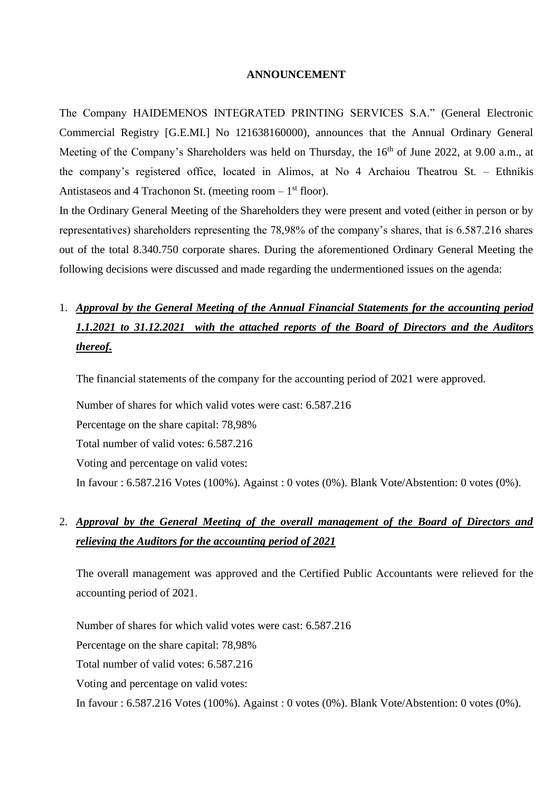#### **ANNOUNCEMENT**

The Company HAIDEMENOS INTEGRATED PRINTING SERVICES S.A." (General Electronic Commercial Registry [G.E.MI.] No 121638160000), announces that the Annual Ordinary General Meeting of the Company's Shareholders was held on Thursday, the 16<sup>th</sup> of June 2022, at 9.00 a.m., at the company's registered office, located in Alimos, at No 4 Archaiou Theatrou St. – Ethnikis Antistaseos and 4 Trachonon St. (meeting room  $-1<sup>st</sup>$  floor).

In the Ordinary General Meeting of the Shareholders they were present and voted (either in person or by representatives) shareholders representing the 78,98% of the company's shares, that is 6.587.216 shares out of the total 8.340.750 corporate shares. During the aforementioned Ordinary General Meeting the following decisions were discussed and made regarding the undermentioned issues on the agenda:

# 1. *Approval by the General Meeting of the Annual Financial Statements for the accounting period 1.1.2021 to 31.12.2021 with the attached reports of the Board of Directors and the Auditors thereof.*

The financial statements of the company for the accounting period of 2021 were approved.

Number of shares for which valid votes were cast: 6.587.216 Percentage on the share capital: 78,98% Total number of valid votes: 6.587.216 Voting and percentage on valid votes: In favour : 6.587.216 Votes (100%). Against : 0 votes (0%). Blank Vote/Abstention: 0 votes (0%).

#### 2. *Approval by the General Meeting of the overall management of the Board of Directors and relieving the Auditors for the accounting period of 2021*

The overall management was approved and the Certified Public Accountants were relieved for the accounting period of 2021.

Number of shares for which valid votes were cast: 6.587.216 Percentage on the share capital: 78,98% Total number of valid votes: 6.587.216 Voting and percentage on valid votes: In favour : 6.587.216 Votes (100%). Against : 0 votes (0%). Blank Vote/Abstention: 0 votes (0%).